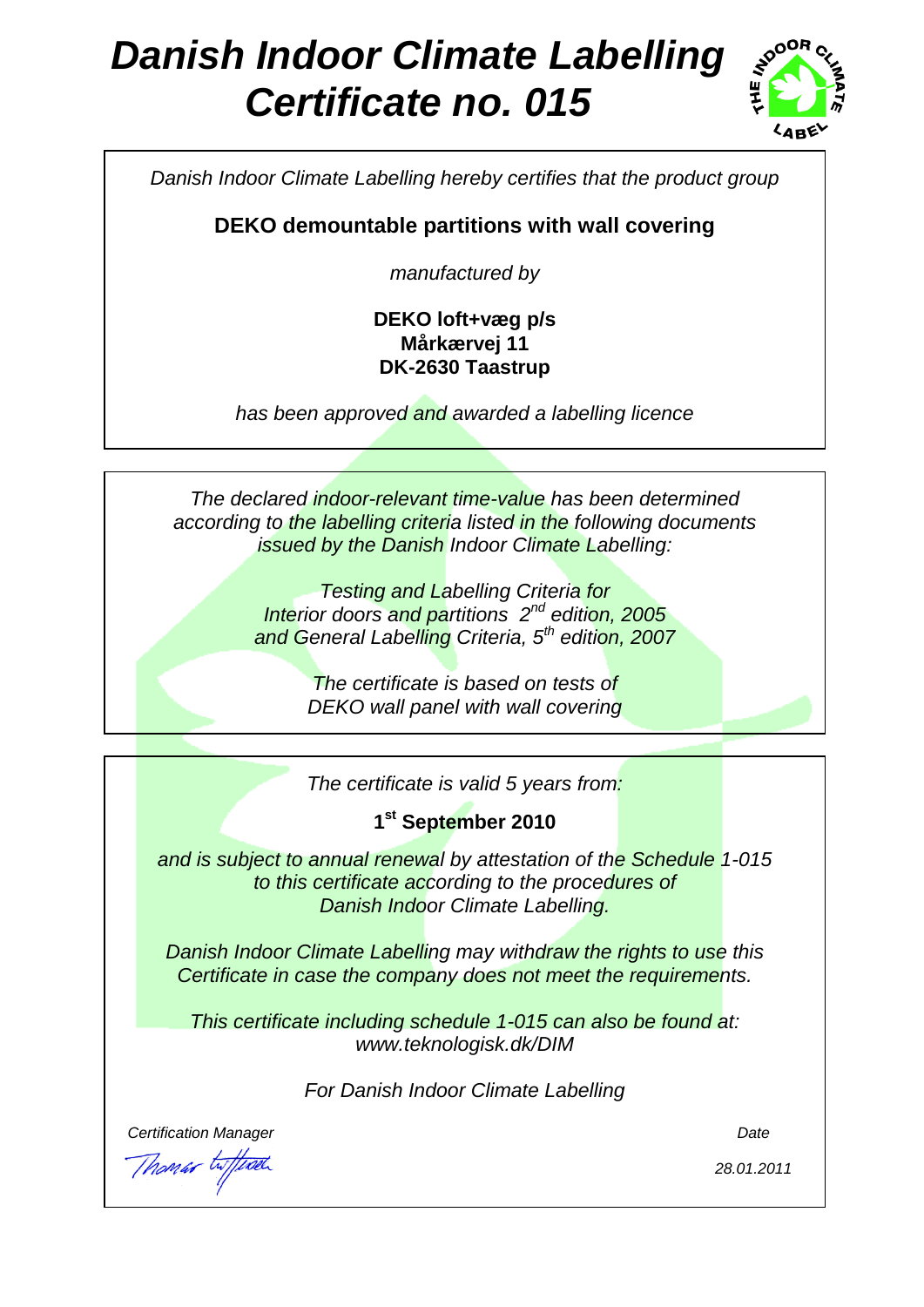# *Danish Indoor Climate Labelling Certificate no. 015*



*Danish Indoor Climate Labelling hereby certifies that the product group*

**DEKO demountable partitions with wall covering**

*manufactured by*

### **DEKO loft+væg p/s Mårkærvej 11 DK-2630 Taastrup**

*has been approved and awarded a labelling licence*

*The declared indoor-relevant time-value has been determined according to the labelling criteria listed in the following documents issued by the Danish Indoor Climate Labelling:*

> *Testing and Labelling Criteria for Interior doors and partitions 2nd edition, 2005 and General Labelling Criteria, 5 th edition, 2007*

> > *The certificate is based on tests of DEKO wall panel with wall covering*

> > *The certificate is valid 5 years from:*

**1 st September 2010**

*and is subject to annual renewal by attestation of the Schedule 1-015 to this certificate according to the procedures of Danish Indoor Climate Labelling.*

*Danish Indoor Climate Labelling may withdraw the rights to use this Certificate in case the company does not meet the requirements.*

*This certificate including schedule 1-015 can also be found at: www.teknologisk.dk/DIM*

*For Danish Indoor Climate Labelling*

*Certification Manager Date*

Th*omar* twffwel

*28.01.2011*